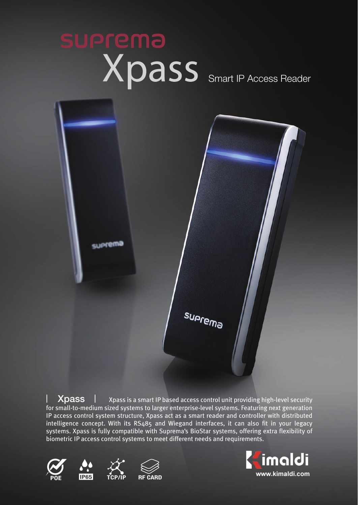# **suprema** Xpass Smart IP Access Reader



 Xpass is a smart IP based access control unit providing high-level security for small-to-medium sized systems to larger enterprise-level systems. Featuring next generation IP access control system structure, Xpass act as a smart reader and controller with distributed intelligence concept. With its RS485 and Wiegand interfaces, it can also fit in your legacy systems. Xpass is fully compatible with Suprema's BioStar systems, offering extra flexibility of biometric IP access control systems to meet different needs and requirements. **Xpass**